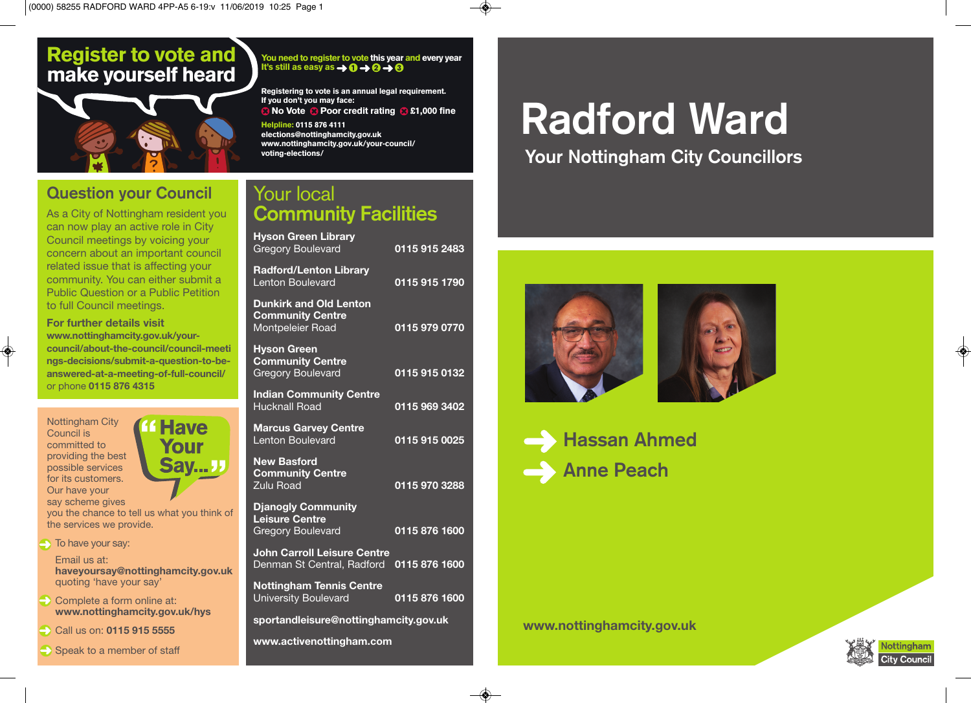#### **Register to vote and make yourself heard**



#### **Question your Council**

As a City of Nottingham resident you can now play an active role in City Council meetings by voicing your concern about an important council related issue that is affecting your community. You can either submit a Public Question or a Public Petition to full Council meetings.

**For further details visit www.nottinghamcity.gov.uk/yourcouncil/about-the-council/council-meeti ngs-decisions/submit-a-question-to-beanswered-at-a-meeting-of-full-council/** or phone **0115 876 4315**

> **Have** Your

Say...<sub>J</sub>



◈

you the chance to tell us what you think of the services we provide.

 $\rightarrow$  To have your say:

Email us at: **haveyoursay@nottinghamcity.gov.uk** quoting 'have your say'

Complete a form online at: **www.nottinghamcity.gov.uk/hys**

Call us on: **0115 915 5555**

Speak to a member of staff

**You need to register to vote this year and every year**  It's still as easy as  $\rightarrow 0 \rightarrow 0 \rightarrow 0$ 

**Registering to vote is an annual legal requirement. If you don't you may face: a** No Vote **&** Poor credit rating **8** £1,000 fine **Helpline: 0115 876 4111**

**elections@nottinghamcity.gov.uk www.nottinghamcity.gov.uk/your-council/ voting-elections/**

#### Your local **Community Facilities**

| <b>Hyson Green Library</b><br><b>Gregory Boulevard</b>                       | 0115 915 2483 |  |
|------------------------------------------------------------------------------|---------------|--|
| <b>Radford/Lenton Library</b><br><b>Lenton Boulevard</b>                     | 0115 915 1790 |  |
| <b>Dunkirk and Old Lenton</b><br><b>Community Centre</b><br>Montpeleier Road | 0115 979 0770 |  |
| <b>Hyson Green</b><br><b>Community Centre</b><br><b>Gregory Boulevard</b>    | 0115 915 0132 |  |
| <b>Indian Community Centre</b><br><b>Hucknall Road</b>                       | 0115 969 3402 |  |
| <b>Marcus Garvey Centre</b><br><b>Lenton Boulevard</b>                       | 0115 915 0025 |  |
| <b>New Basford</b><br><b>Community Centre</b><br>Zulu Road                   | 0115 970 3288 |  |
| <b>Djanogly Community</b><br>Leisure Centre<br><b>Gregory Boulevard</b>      | 0115 876 1600 |  |
| <b>John Carroll Leisure Centre</b><br>Denman St Central, Radford             | 0115 876 1600 |  |
| <b>Nottingham Tennis Centre</b><br><b>University Boulevard</b>               | 0115 876 1600 |  |
| sportandleisure@nottinghamcity.gov.uk                                        |               |  |

**www.activenottingham.com**

## **Radford Ward**

#### **Your Nottingham City Councillors**



**Hassan Ahmed Anne Peach**

**www.nottinghamcity.gov.uk**